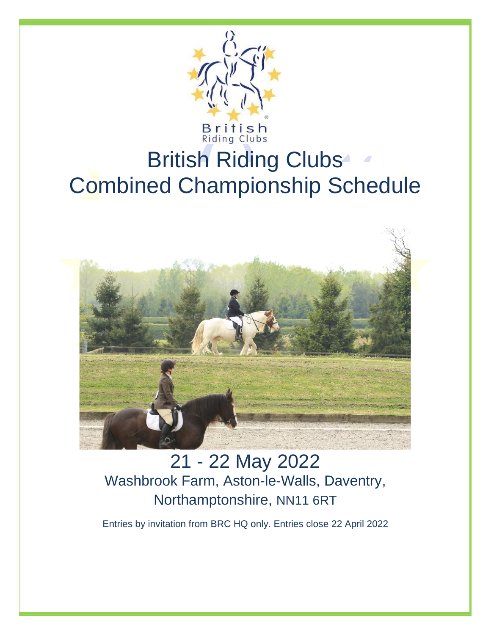

# British Riding Clubs<sup>®</sup> Combined Championship Schedule



21 - 22 May 2022 Washbrook Farm, Aston-le-Walls, Daventry, Northamptonshire, NN11 6RT

Entries by invitation from BRC HQ only. Entries close 22 April 2022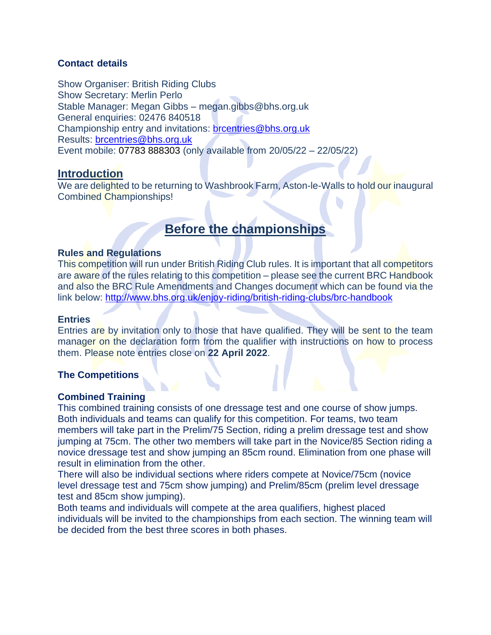# **Contact details**

Show Organiser: British Riding Clubs Show Secretary: Merlin Perlo Stable Manager: Megan Gibbs – megan.gibbs@bhs.org.uk General enquiries: 02476 840518 Championship entry and invitations: [brcentries@bhs.org.uk](mailto:brcentries@bhs.org.uk) Results: [brcentries@bhs.org.uk](mailto:brcentries@bhs.org.uk) Event mobile: 07783 888303 (only available from 20/05/22 – 22/05/22)

# **Introduction**

We are delighted to be returning to Washbrook Farm, Aston-le-Walls to hold our inaugural Combined Championships!

# **Before the championships**

#### **Rules and Regulations**

This competition will run under British Riding Club rules. It is important that all competitors are aware of the rules relating to this competition – please see the current BRC Handbook and also the BRC Rule Amendments and Changes document which can be found via the link below:<http://www.bhs.org.uk/enjoy-riding/british-riding-clubs/brc-handbook>

## **Entries**

Entries are by invitation only to those that have qualified. They will be sent to the team manager on the declaration form from the qualifier with instructions on how to process them. Please note entries close on **22 April 2022**.

# **The Competitions**

# **Combined Training**

This combined training consists of one dressage test and one course of show jumps. Both individuals and teams can qualify for this competition. For teams, two team members will take part in the Prelim/75 Section, riding a prelim dressage test and show jumping at 75cm. The other two members will take part in the Novice/85 Section riding a novice dressage test and show jumping an 85cm round. Elimination from one phase will result in elimination from the other.

There will also be individual sections where riders compete at Novice/75cm (novice level dressage test and 75cm show jumping) and Prelim/85cm (prelim level dressage test and 85cm show jumping).

Both teams and individuals will compete at the area qualifiers, highest placed individuals will be invited to the championships from each section. The winning team will be decided from the best three scores in both phases.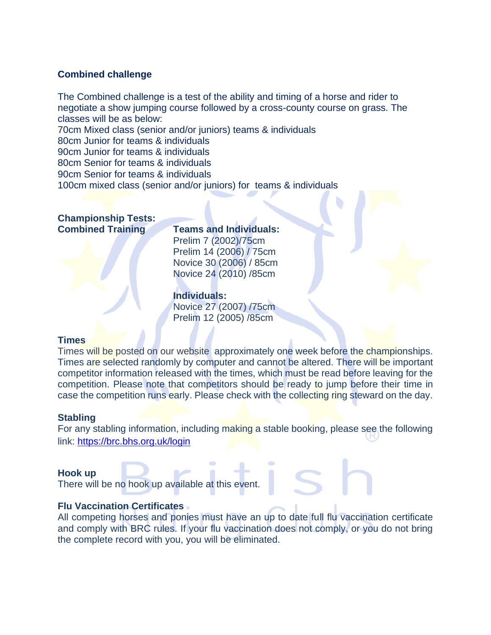# **Combined challenge**

The Combined challenge is a test of the ability and timing of a horse and rider to negotiate a show jumping course followed by a cross-county course on grass. The classes will be as below: 70cm Mixed class (senior and/or juniors) teams & individuals

80cm Junior for teams & individuals 90cm Junior for teams & individuals

80cm Senior for teams & individuals

90cm Senior for teams & individuals

100cm mixed class (senior and/or juniors) for teams & individuals

# **Championship Tests: Combined Training Teams and Individuals:**

Prelim 7 (2002)/75cm Prelim 14 (2006) / 75cm Novice 30 (2006) / 85cm Novice 24 (2010) /85cm

# **Individuals:**

Novice 27 (2007) /75cm Prelim 12 (2005) /85cm

# **Times**

Times will be posted on our website approximately one week before the championships. Times are selected randomly by computer and cannot be altered. There will be important competitor information released with the times, which must be read before leaving for the competition. Please note that competitors should be ready to jump before their time in case the competition runs early. Please check with the collecting ring steward on the day.

# **Stabling**

For any stabling information, including making a stable booking, please see the following link:<https://brc.bhs.org.uk/login>

# **Hook up**

There will be no hook up available at this event.

# **Flu Vaccination Certificates**

All competing horses and ponies must have an up to date full flu vaccination certificate and comply with BRC rules. If your flu vaccination does not comply, or you do not bring the complete record with you, you will be eliminated.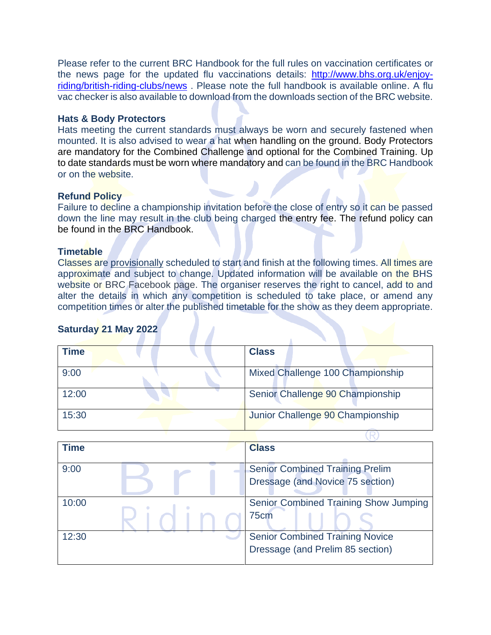Please refer to the current BRC Handbook for the full rules on vaccination certificates or the news page for the updated flu vaccinations details: [http://www.bhs.org.uk/enjoy](http://www.bhs.org.uk/enjoy-riding/british-riding-clubs/news)[riding/british-riding-clubs/news](http://www.bhs.org.uk/enjoy-riding/british-riding-clubs/news) . Please note the full handbook is available online. A flu vac checker is also available to download from the downloads section of the BRC website.

# **Hats & Body Protectors**

Hats meeting the current standards must always be worn and securely fastened when mounted. It is also advised to wear a hat when handling on the ground. Body Protectors are mandatory for the Combined Challenge and optional for the Combined Training. Up to date standards must be worn where mandatory and can be found in the BRC Handbook or on the website.

# **Refund Policy**

Failure to decline a championship invitation before the close of entry so it can be passed down the line may result in the club being charged the entry fee. The refund policy can be found in the BRC Handbook.

# **Timetable**

Classes are provisionally scheduled to start and finish at the following times. All times are approximate and subject to change. Updated information will be available on the BHS website or BRC Facebook page. The organiser reserves the right to cancel, add to and alter the details in which any competition is scheduled to take place, or amend any competition times or alter the published timetable for the show as they deem appropriate.

# **Saturday 21 May 2022**

| <b>Time</b> | <b>Class</b>                     |
|-------------|----------------------------------|
| 9:00        | Mixed Challenge 100 Championship |
| 12:00       | Senior Challenge 90 Championship |
| 15:30       | Junior Challenge 90 Championship |

| <b>Time</b> | <b>Class</b>                           |
|-------------|----------------------------------------|
| 9:00        | <b>Senior Combined Training Prelim</b> |
|             | Dressage (and Novice 75 section)       |
| 10:00       | Senior Combined Training Show Jumping  |
|             | 75cm                                   |
| 12:30       | <b>Senior Combined Training Novice</b> |
|             | Dressage (and Prelim 85 section)       |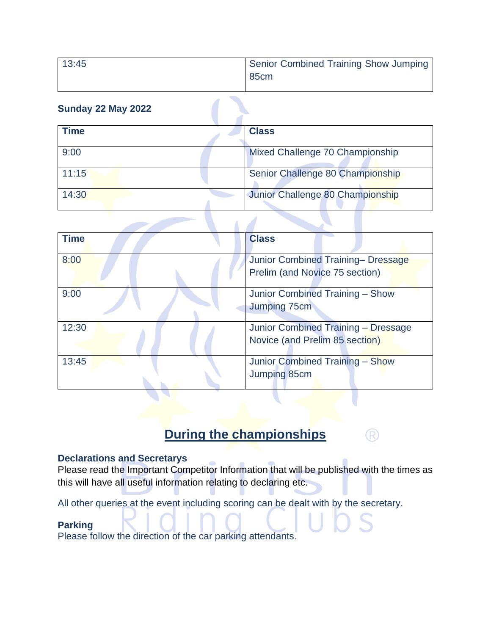| 13:45 | Senior Combined Training Show Jumping |
|-------|---------------------------------------|
|       | 85 <sub>cm</sub>                      |

# **Sunday 22 May 2022**

| <b>Time</b> | <b>Class</b>                     |
|-------------|----------------------------------|
|             |                                  |
| 9:00        | Mixed Challenge 70 Championship  |
|             |                                  |
| 11:15       | Senior Challenge 80 Championship |
|             |                                  |
| 14:30       | Junior Challenge 80 Championship |
|             |                                  |

| <b>Time</b> | <b>Class</b>                                                          |
|-------------|-----------------------------------------------------------------------|
| 8:00        | Junior Combined Training- Dressage<br>Prelim (and Novice 75 section)  |
| 9:00        | Junior Combined Training - Show<br>Jumping 75cm                       |
| 12:30       | Junior Combined Training - Dressage<br>Novice (and Prelim 85 section) |
| 13:45       | Junior Combined Training - Show<br>Jumping 85cm                       |

# **During the championships**

(R)

# **Declarations and Secretarys**

Please read the Important Competitor Information that will be published with the times as this will have all useful information relating to declaring etc.

All other queries at the event including scoring can be dealt with by the secretary.

# **Parking**

Please follow the direction of the car parking attendants.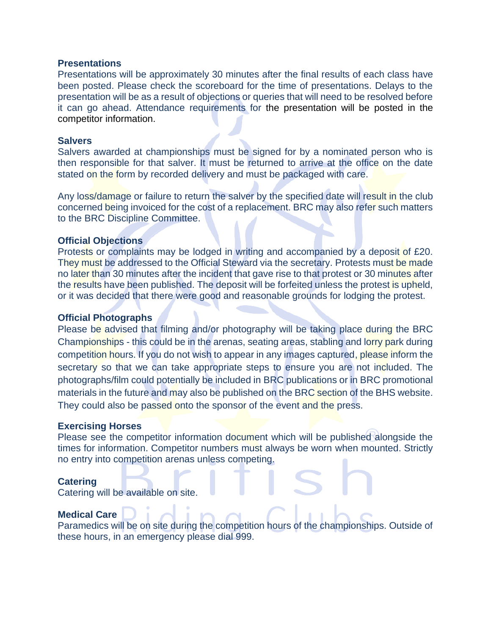#### **Presentations**

Presentations will be approximately 30 minutes after the final results of each class have been posted. Please check the scoreboard for the time of presentations. Delays to the presentation will be as a result of objections or queries that will need to be resolved before it can go ahead. Attendance requirements for the presentation will be posted in the competitor information.

# **Salvers**

Salvers awarded at championships must be signed for by a nominated person who is then responsible for that salver. It must be returned to arrive at the office on the date stated on the form by recorded delivery and must be packaged with care.

Any loss/damage or failure to return the salver by the specified date will result in the club concerned being invoiced for the cost of a replacement. BRC may also refer such matters to the BRC Discipline Committee.

# **Official Objections**

Protests or complaints may be lodged in writing and accompanied by a deposit of £20. They must be addressed to the Official Steward via the secretary. Protests must be made no later than 30 minutes after the incident that gave rise to that protest or 30 minutes after the results have been published. The deposit will be forfeited unless the protest is upheld, or it was decided that there were good and reasonable grounds for lodging the protest.

## **Official Photographs**

Please be advised that filming and/or photography will be taking place during the BRC Championships - this could be in the arenas, seating areas, stabling and lorry park during competition hours. If you do not wish to appear in any images captured, please inform the secretary so that we can take appropriate steps to ensure you are not included. The photographs/film could potentially be included in BRC publications or in BRC promotional materials in the future and may also be published on the BRC section of the BHS website. They could also be passed onto the sponsor of the event and the press.

#### **Exercising Horses**

Please see the competitor information document which will be published alongside the times for information. Competitor numbers must always be worn when mounted. Strictly no entry into competition arenas unless competing.

# **Catering**

Catering will be available on site.

# **Medical Care**

Paramedics will be on site during the competition hours of the championships. Outside of these hours, in an emergency please dial 999.